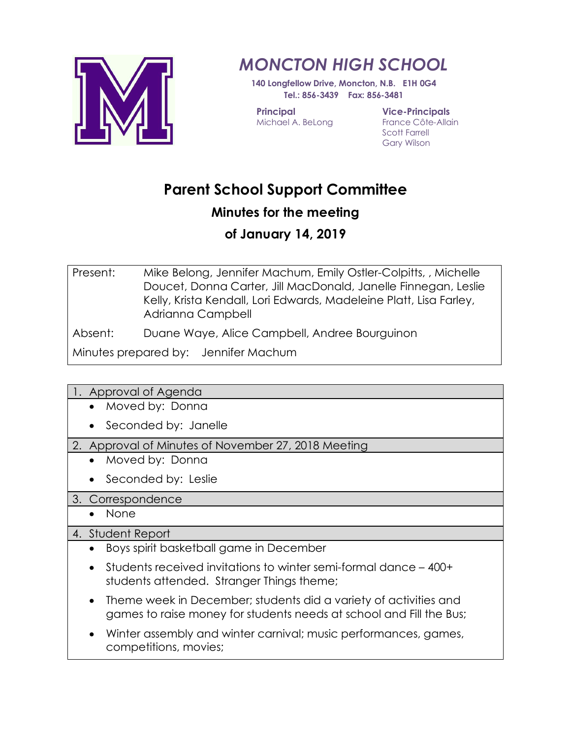

# *MONCTON HIGH SCHOOL*

**140 Longfellow Drive, Moncton, N.B. E1H 0G4 Tel.: 856-3439 Fax: 856-3481**

**Principal** Michael A. BeLong **Vice-Principals** France Côte-Allain Scott Farrell Gary Wilson

# **Parent School Support Committee**

## **Minutes for the meeting**

# **of January 14, 2019**

| Present:                             | Mike Belong, Jennifer Machum, Emily Ostler-Colpitts, , Michelle    |
|--------------------------------------|--------------------------------------------------------------------|
|                                      | Doucet, Donna Carter, Jill MacDonald, Janelle Finnegan, Leslie     |
|                                      | Kelly, Krista Kendall, Lori Edwards, Madeleine Platt, Lisa Farley, |
|                                      | Adrianna Campbell                                                  |
| Absent:                              | Duane Waye, Alice Campbell, Andree Bourguinon                      |
| Minutes prepared by: Jennifer Machum |                                                                    |

- 1. Approval of Agenda
	- Moved by: Donna
	- Seconded by: Janelle
- 2. Approval of Minutes of November 27, 2018 Meeting
	- Moved by: Donna
	- Seconded by: Leslie
- 3. Correspondence
	- None

4. Student Report

- Boys spirit basketball game in December
- Students received invitations to winter semi-formal dance 400+ students attended. Stranger Things theme;
- Theme week in December; students did a variety of activities and games to raise money for students needs at school and Fill the Bus;
- Winter assembly and winter carnival; music performances, games, competitions, movies;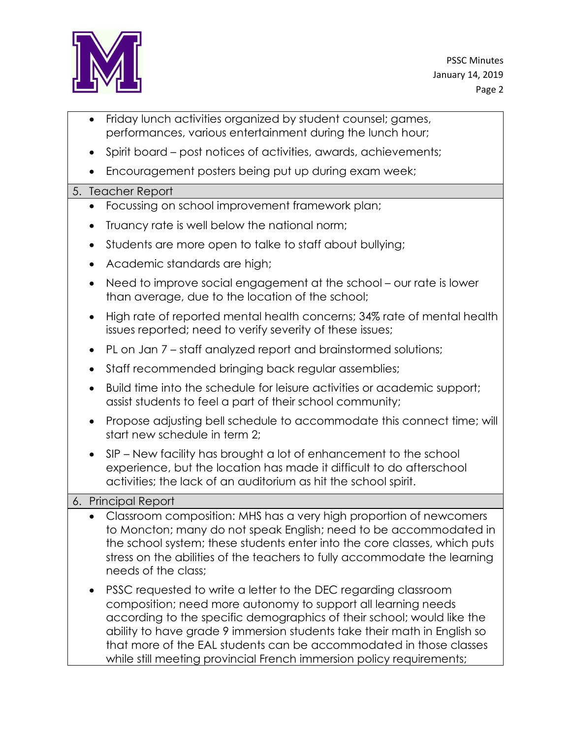

- Friday lunch activities organized by student counsel; games, performances, various entertainment during the lunch hour;
- Spirit board post notices of activities, awards, achievements;
- Encouragement posters being put up during exam week;

## 5. Teacher Report

- Focussing on school improvement framework plan;
- Truancy rate is well below the national norm;
- Students are more open to talke to staff about bullying;
- Academic standards are high;
- Need to improve social engagement at the school our rate is lower than average, due to the location of the school;
- High rate of reported mental health concerns; 34% rate of mental health issues reported; need to verify severity of these issues;
- PL on Jan 7 staff analyzed report and brainstormed solutions;
- Staff recommended bringing back regular assemblies;
- Build time into the schedule for leisure activities or academic support; assist students to feel a part of their school community;
- Propose adjusting bell schedule to accommodate this connect time; will start new schedule in term 2;
- SIP New facility has brought a lot of enhancement to the school experience, but the location has made it difficult to do afterschool activities; the lack of an auditorium as hit the school spirit.

## 6. Principal Report

- Classroom composition: MHS has a very high proportion of newcomers to Moncton; many do not speak English; need to be accommodated in the school system; these students enter into the core classes, which puts stress on the abilities of the teachers to fully accommodate the learning needs of the class;
- PSSC requested to write a letter to the DEC regarding classroom composition; need more autonomy to support all learning needs according to the specific demographics of their school; would like the ability to have grade 9 immersion students take their math in English so that more of the EAL students can be accommodated in those classes while still meeting provincial French immersion policy requirements;